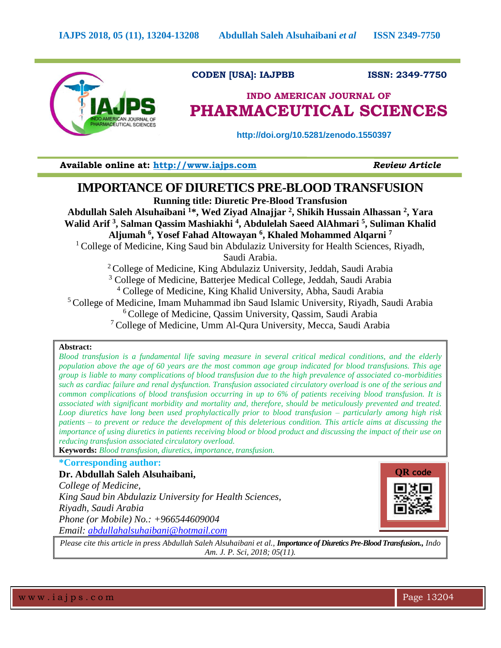

 **CODEN [USA]: IAJPBB ISSN: 2349-7750**

# **INDO AMERICAN JOURNAL OF PHARMACEUTICAL SCIENCES**

 **http://doi.org/10.5281/zenodo.1550397**

**Available online at: [http://www.iajps.com](http://www.iajps.com/)** *Review Article*

# **IMPORTANCE OF DIURETICS PRE-BLOOD TRANSFUSION**

**Running title: Diuretic Pre-Blood Transfusion**

**Abdullah Saleh Alsuhaibani <sup>1</sup>\*, Wed Ziyad Alnajjar <sup>2</sup> , Shikih Hussain Alhassan <sup>2</sup> , Yara Walid Arif <sup>3</sup> , Salman Qassim Mashiakhi <sup>4</sup> , Abdulelah Saeed AlAhmari <sup>5</sup> , Suliman Khalid** 

**Aljumah <sup>6</sup> , Yosef Fahad Altowayan <sup>6</sup> , Khaled Mohammed Alqarni <sup>7</sup>**

<sup>1</sup> College of Medicine, King Saud bin Abdulaziz University for Health Sciences, Riyadh,

Saudi Arabia.

<sup>2</sup> College of Medicine, King Abdulaziz University, Jeddah, Saudi Arabia

<sup>3</sup> College of Medicine, Batterjee Medical College, Jeddah, Saudi Arabia

<sup>4</sup> College of Medicine, King Khalid University, Abha, Saudi Arabia

<sup>5</sup> College of Medicine, Imam Muhammad ibn Saud Islamic University, Riyadh, Saudi Arabia

 $6$ College of Medicine, Qassim University, Qassim, Saudi Arabia

<sup>7</sup> College of Medicine, Umm Al-Qura University, Mecca, Saudi Arabia

## **Abstract:**

*Blood transfusion is a fundamental life saving measure in several critical medical conditions, and the elderly population above the age of 60 years are the most common age group indicated for blood transfusions. This age group is liable to many complications of blood transfusion due to the high prevalence of associated co-morbidities such as cardiac failure and renal dysfunction. Transfusion associated circulatory overload is one of the serious and common complications of blood transfusion occurring in up to 6% of patients receiving blood transfusion. It is associated with significant morbidity and mortality and, therefore, should be meticulously prevented and treated. Loop diuretics have long been used prophylactically prior to blood transfusion – particularly among high risk patients – to prevent or reduce the development of this deleterious condition. This article aims at discussing the importance of using diuretics in patients receiving blood or blood product and discussing the impact of their use on reducing transfusion associated circulatory overload.*

**Keywords:** *Blood transfusion, diuretics, importance, transfusion.*

## **\*Corresponding author:**

**Dr. Abdullah Saleh Alsuhaibani,** *College of Medicine, King Saud bin Abdulaziz University for Health Sciences, Riyadh, Saudi Arabia Phone (or Mobile) No.: +966544609004 Email: [abdullahalsuhaibani@hotmail.com](mailto:abdullahalsuhaibani@hotmail.com)*



*Please cite this article in press Abdullah Saleh Alsuhaibani et al., Importance of Diuretics Pre-Blood Transfusion., Indo Am. J. P. Sci, 2018; 05(11).*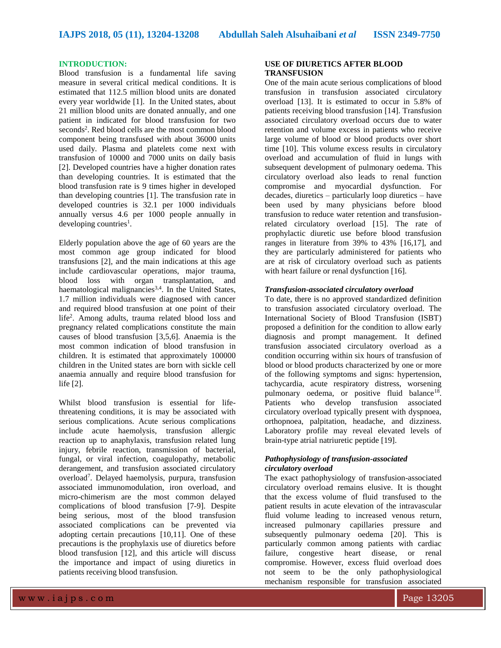## **INTRODUCTION:**

Blood transfusion is a fundamental life saving measure in several critical medical conditions. It is estimated that 112.5 million blood units are donated every year worldwide [1]. In the United states, about 21 million blood units are donated annually, and one patient in indicated for blood transfusion for two seconds<sup>2</sup>. Red blood cells are the most common blood component being transfused with about 36000 units used daily. Plasma and platelets come next with transfusion of 10000 and 7000 units on daily basis [2]. Developed countries have a higher donation rates than developing countries. It is estimated that the blood transfusion rate is 9 times higher in developed than developing countries [1]. The transfusion rate in developed countries is 32.1 per 1000 individuals annually versus 4.6 per 1000 people annually in developing countries<sup>1</sup>.

Elderly population above the age of 60 years are the most common age group indicated for blood transfusions [2], and the main indications at this age include cardiovascular operations, major trauma, blood loss with organ transplantation, and haematological malignancies<sup>3,4</sup>. In the United States, 1.7 million individuals were diagnosed with cancer and required blood transfusion at one point of their life<sup>2</sup> . Among adults, trauma related blood loss and pregnancy related complications constitute the main causes of blood transfusion [3,5,6]. Anaemia is the most common indication of blood transfusion in children. It is estimated that approximately 100000 children in the United states are born with sickle cell anaemia annually and require blood transfusion for life [2].

Whilst blood transfusion is essential for lifethreatening conditions, it is may be associated with serious complications. Acute serious complications include acute haemolysis, transfusion allergic reaction up to anaphylaxis, transfusion related lung injury, febrile reaction, transmission of bacterial, fungal, or viral infection, coagulopathy, metabolic derangement, and transfusion associated circulatory overload<sup>7</sup> . Delayed haemolysis, purpura, transfusion associated immunomodulation, iron overload, and micro-chimerism are the most common delayed complications of blood transfusion [7-9]. Despite being serious, most of the blood transfusion associated complications can be prevented via adopting certain precautions [10,11]. One of these precautions is the prophylaxis use of diuretics before blood transfusion [12], and this article will discuss the importance and impact of using diuretics in patients receiving blood transfusion.

## **USE OF DIURETICS AFTER BLOOD TRANSFUSION**

One of the main acute serious complications of blood transfusion in transfusion associated circulatory overload [13]. It is estimated to occur in 5.8% of patients receiving blood transfusion [14]. Transfusion associated circulatory overload occurs due to water retention and volume excess in patients who receive large volume of blood or blood products over short time [10]. This volume excess results in circulatory overload and accumulation of fluid in lungs with subsequent development of pulmonary oedema. This circulatory overload also leads to renal function compromise and myocardial dysfunction. For decades, diuretics – particularly loop diuretics – have been used by many physicians before blood transfusion to reduce water retention and transfusionrelated circulatory overload [15]. The rate of prophylactic diuretic use before blood transfusion ranges in literature from 39% to 43% [16,17], and they are particularly administered for patients who are at risk of circulatory overload such as patients with heart failure or renal dysfunction [16].

## *Transfusion-associated circulatory overload*

To date, there is no approved standardized definition to transfusion associated circulatory overload. The International Society of Blood Transfusion (ISBT) proposed a definition for the condition to allow early diagnosis and prompt management. It defined transfusion associated circulatory overload as a condition occurring within six hours of transfusion of blood or blood products characterized by one or more of the following symptoms and signs: hypertension, tachycardia, acute respiratory distress, worsening pulmonary oedema, or positive fluid balance<sup>18</sup>. Patients who develop transfusion associated circulatory overload typically present with dyspnoea, orthopnoea, palpitation, headache, and dizziness. Laboratory profile may reveal elevated levels of brain-type atrial natriuretic peptide [19].

## *Pathophysiology of transfusion-associated circulatory overload*

The exact pathophysiology of transfusion-associated circulatory overload remains elusive. It is thought that the excess volume of fluid transfused to the patient results in acute elevation of the intravascular fluid volume leading to increased venous return, increased pulmonary capillaries pressure and subsequently pulmonary oedema [20]. This is particularly common among patients with cardiac failure, congestive heart disease, or renal compromise. However, excess fluid overload does not seem to be the only pathophysiological mechanism responsible for transfusion associated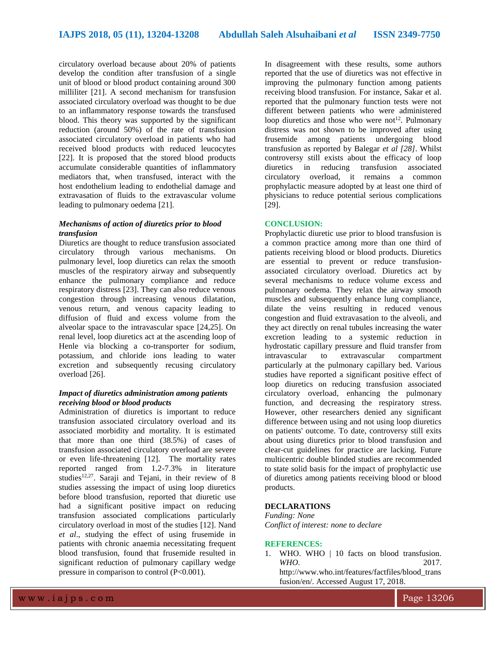circulatory overload because about 20% of patients develop the condition after transfusion of a single unit of blood or blood product containing around 300 milliliter [21]. A second mechanism for transfusion associated circulatory overload was thought to be due to an inflammatory response towards the transfused blood. This theory was supported by the significant reduction (around 50%) of the rate of transfusion associated circulatory overload in patients who had received blood products with reduced leucocytes [22]. It is proposed that the stored blood products accumulate considerable quantities of inflammatory mediators that, when transfused, interact with the host endothelium leading to endothelial damage and extravasation of fluids to the extravascular volume leading to pulmonary oedema [21].

### *Mechanisms of action of diuretics prior to blood transfusion*

Diuretics are thought to reduce transfusion associated circulatory through various mechanisms. On pulmonary level, loop diuretics can relax the smooth muscles of the respiratory airway and subsequently enhance the pulmonary compliance and reduce respiratory distress [23]. They can also reduce venous congestion through increasing venous dilatation, venous return, and venous capacity leading to diffusion of fluid and excess volume from the alveolar space to the intravascular space [24,25]. On renal level, loop diuretics act at the ascending loop of Henle via blocking a co-transporter for sodium, potassium, and chloride ions leading to water excretion and subsequently recusing circulatory overload [26].

## *Impact of diuretics administration among patients receiving blood or blood products*

Administration of diuretics is important to reduce transfusion associated circulatory overload and its associated morbidity and mortality. It is estimated that more than one third (38.5%) of cases of transfusion associated circulatory overload are severe or even life-threatening [12]. The mortality rates reported ranged from 1.2-7.3% in literature studies $12,27$ . Saraji and Tejani, in their review of 8 studies assessing the impact of using loop diuretics before blood transfusion, reported that diuretic use had a significant positive impact on reducing transfusion associated complications particularly circulatory overload in most of the studies [12]. Nand *et al*., studying the effect of using frusemide in patients with chronic anaemia necessitating frequent blood transfusion, found that frusemide resulted in significant reduction of pulmonary capillary wedge pressure in comparison to control (P<0.001).

In disagreement with these results, some authors reported that the use of diuretics was not effective in improving the pulmonary function among patients receiving blood transfusion. For instance, Sakar et al. reported that the pulmonary function tests were not different between patients who were administered loop diuretics and those who were not<sup>12</sup>. Pulmonary distress was not shown to be improved after using frusemide among patients undergoing blood transfusion as reported by Balegar *et al [28]*. Whilst controversy still exists about the efficacy of loop diuretics in reducing transfusion associated circulatory overload, it remains a common prophylactic measure adopted by at least one third of physicians to reduce potential serious complications [29].

#### **CONCLUSION:**

Prophylactic diuretic use prior to blood transfusion is a common practice among more than one third of patients receiving blood or blood products. Diuretics are essential to prevent or reduce transfusionassociated circulatory overload. Diuretics act by several mechanisms to reduce volume excess and pulmonary oedema. They relax the airway smooth muscles and subsequently enhance lung compliance, dilate the veins resulting in reduced venous congestion and fluid extravasation to the alveoli, and they act directly on renal tubules increasing the water excretion leading to a systemic reduction in hydrostatic capillary pressure and fluid transfer from intravascular to extravascular compartment particularly at the pulmonary capillary bed. Various studies have reported a significant positive effect of loop diuretics on reducing transfusion associated circulatory overload, enhancing the pulmonary function, and decreasing the respiratory stress. However, other researchers denied any significant difference between using and not using loop diuretics on patients' outcome. To date, controversy still exits about using diuretics prior to blood transfusion and clear-cut guidelines for practice are lacking. Future multicentric double blinded studies are recommended to state solid basis for the impact of prophylactic use of diuretics among patients receiving blood or blood products.

### **DECLARATIONS**

*Funding: None Conflict of interest: none to declare*

#### **REFERENCES:**

1. WHO. WHO | 10 facts on blood transfusion. *WHO*. 2017.

http://www.who.int/features/factfiles/blood\_trans fusion/en/. Accessed August 17, 2018.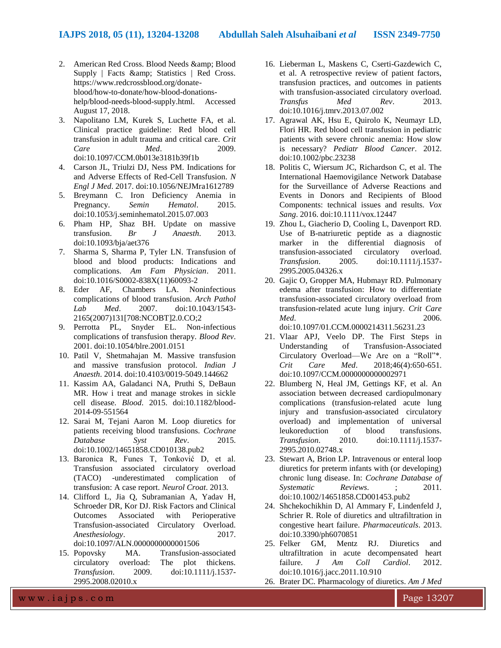- 2. American Red Cross. Blood Needs & amp; Blood Supply | Facts & amp: Statistics | Red Cross. https://www.redcrossblood.org/donateblood/how-to-donate/how-blood-donationshelp/blood-needs-blood-supply.html. Accessed August 17, 2018.
- 3. Napolitano LM, Kurek S, Luchette FA, et al. Clinical practice guideline: Red blood cell transfusion in adult trauma and critical care. *Crit Care Med*. 2009. doi:10.1097/CCM.0b013e3181b39f1b
- 4. Carson JL, Triulzi DJ, Ness PM. Indications for and Adverse Effects of Red-Cell Transfusion. *N Engl J Med*. 2017. doi:10.1056/NEJMra1612789
- 5. Breymann C. Iron Deficiency Anemia in Pregnancy. *Semin Hematol*. 2015. doi:10.1053/j.seminhematol.2015.07.003
- 6. Pham HP, Shaz BH. Update on massive transfusion. *Br J Anaesth*. 2013. doi:10.1093/bja/aet376
- 7. Sharma S, Sharma P, Tyler LN. Transfusion of blood and blood products: Indications and complications. *Am Fam Physician*. 2011. doi:10.1016/S0002-838X(11)60093-2
- 8. Eder AF, Chambers LA. Noninfectious complications of blood transfusion. *Arch Pathol Lab Med*. 2007. doi:10.1043/1543- 2165(2007)131[708:NCOBT]2.0.CO;2
- 9. Perrotta PL, Snyder EL. Non-infectious complications of transfusion therapy. *Blood Rev*. 2001. doi:10.1054/blre.2001.0151
- 10. Patil V, Shetmahajan M. Massive transfusion and massive transfusion protocol. *Indian J Anaesth*. 2014. doi:10.4103/0019-5049.144662
- 11. Kassim AA, Galadanci NA, Pruthi S, DeBaun MR. How i treat and manage strokes in sickle cell disease. *Blood*. 2015. doi:10.1182/blood-2014-09-551564
- 12. Sarai M, Tejani Aaron M. Loop diuretics for patients receiving blood transfusions. *Cochrane Database Syst Rev*. 2015. doi:10.1002/14651858.CD010138.pub2
- 13. Baronica R, Funes T, Tonković D, et al. Transfusion associated circulatory overload (TACO) -underestimated complication of transfusion: A case report. *Neurol Croat*. 2013.
- 14. Clifford L, Jia Q, Subramanian A, Yadav H, Schroeder DR, Kor DJ. Risk Factors and Clinical Outcomes Associated with Perioperative Transfusion-associated Circulatory Overload. *Anesthesiology*. 2017. doi:10.1097/ALN.0000000000001506
- 15. Popovsky MA. Transfusion-associated<br>circulatory overload: The plot thickens. circulatory overload: The plot thickens. *Transfusion*. 2009. doi:10.1111/j.1537- 2995.2008.02010.x
- 16. Lieberman L, Maskens C, Cserti-Gazdewich C, et al. A retrospective review of patient factors, transfusion practices, and outcomes in patients with transfusion-associated circulatory overload. *Transfus Med Rev*. 2013. doi:10.1016/j.tmrv.2013.07.002
- 17. Agrawal AK, Hsu E, Quirolo K, Neumayr LD, Flori HR. Red blood cell transfusion in pediatric patients with severe chronic anemia: How slow is necessary? *Pediatr Blood Cancer*. 2012. doi:10.1002/pbc.23238
- 18. Politis C, Wiersum JC, Richardson C, et al. The International Haemovigilance Network Database for the Surveillance of Adverse Reactions and Events in Donors and Recipients of Blood Components: technical issues and results. *Vox Sang*. 2016. doi:10.1111/vox.12447
- 19. Zhou L, Giacherio D, Cooling L, Davenport RD. Use of B-natriuretic peptide as a diagnostic marker in the differential diagnosis of transfusion-associated circulatory overload. *Transfusion*. 2005. doi:10.1111/j.1537- 2995.2005.04326.x
- 20. Gajic O, Gropper MA, Hubmayr RD. Pulmonary edema after transfusion: How to differentiate transfusion-associated circulatory overload from transfusion-related acute lung injury. *Crit Care Med*. 2006. doi:10.1097/01.CCM.0000214311.56231.23

21. Vlaar APJ, Veelo DP. The First Steps in Understanding of Transfusion-Associated Circulatory Overload—We Are on a "Roll"\*. *Crit Care Med*. 2018;46(4):650-651. doi:10.1097/CCM.0000000000002971

- 22. Blumberg N, Heal JM, Gettings KF, et al. An association between decreased cardiopulmonary complications (transfusion-related acute lung injury and transfusion-associated circulatory overload) and implementation of universal leukoreduction of blood transfusions. *Transfusion*. 2010. doi:10.1111/j.1537- 2995.2010.02748.x
- 23. Stewart A, Brion LP. Intravenous or enteral loop diuretics for preterm infants with (or developing) chronic lung disease. In: *Cochrane Database of Systematic Reviews*. ; 2011. doi:10.1002/14651858.CD001453.pub2
- 24. Shchekochikhin D, Al Ammary F, Lindenfeld J, Schrier R. Role of diuretics and ultrafiltration in congestive heart failure. *Pharmaceuticals*. 2013. doi:10.3390/ph6070851
- 25. Felker GM, Mentz RJ. Diuretics and ultrafiltration in acute decompensated heart failure. *J Am Coll Cardiol*. 2012. doi:10.1016/j.jacc.2011.10.910
- 26. Brater DC. Pharmacology of diuretics. *Am J Med*